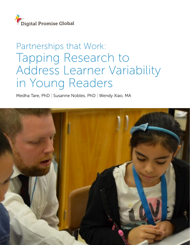

# Partnerships that Work: Tapping Research to Address Learner Variability in Young Readers

Medha Tare, PhD | Susanne Nobles, PhD | Wendy Xiao, MA

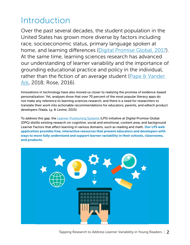# Introduction

Over the past several decades, the student population in the United States has grown more diverse by factors including race, socioeconomic status, primary language spoken at home, and learning differences ([Digital Promise Global, 2017](http://digitalpromise.org/2018/01/25/personalize-purpose-meeting-learners/)). At the same time, learning sciences research has advanced our understanding of learner variability and the importance of grounding educational practice and policy in the individual, rather than the fiction of an average student (Pape & Vander [Ark,](http://digitalpromise.org/2018/01/25/personalize-purpose-meeting-learners/) 2018; Rose, 2016).

Innovations in technology have also moved us closer to realizing the promise of evidence-based personalization. Yet, analyses show that over 70 percent of the most popular literacy apps do not make any reference to learning sciences research, and there is a need for researchers to translate their work into actionable recommendations for educators, parents, and edtech product developers (Vaala, Ly, & Levine, 2015).

To address this gap, the [Learner Positioning Systems](https://lps.digitalpromiseglobal.org/) (LPS) initiative at Digital Promise Global (DPG) distills existing research on cognitive, social and emotional, content area, and background Learner Factors that affect learning in various domains, such as reading and math. Our LPS web application provides free, interactive resources that present educators and developers with ways to more fully understand and support learner variability in their schools, classrooms, and products.

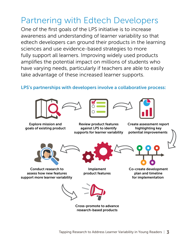# Partnering with Edtech Developers

One of the first goals of the LPS initiative is to increase awareness and understanding of learner variability so that edtech developers can ground their products in the learning sciences and use evidence-based strategies to more fully support all learners. Improving widely used products amplifies the potential impact on millions of students who have varying needs, particularly if teachers are able to easily take advantage of these increased learner supports.

### LPS's partnerships with developers involve a collaborative process:



Explore mission and goals of existing product







Review product features against LPS to identify supports for learner variability

Create assessment report highlighting key potential improvements



Conduct research to assess how new features support more learner variability



Implement product features

Co-create development plan and timeline for implementation

Cross-promote to advance research-based products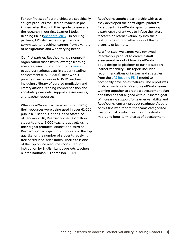For our first set of partnerships, we specifically sought products focused on readers in prekindergarten through third grade to leverage the research in our first Learner Model, Reading PK-3 [\(Sheppard, 2017\)](http://digitalpromise.org/wp-content/uploads/2017/07/lps-reading_success_july102017.pdf). In seeking partners, LPS also values organizations committed to reaching learners from a variety of backgrounds and with varying needs.

Our first partner, ReadWorks, is a nonprofit organization that aims to leverage learning sciences research in support of its [mission](http://about.readworks.org/the-crisis.html) to address national gaps in student reading achievement (NAEP, 2015). ReadWorks provides free resources to K-12 teachers, including a library of curated nonfiction and literary articles, reading comprehension and vocabulary curricular supports, assessments, and teacher resources.

When ReadWorks partnered with us in 2017, their resources were being used in over 61,000 public K-8 schools in the United States. As of January 2018, ReadWorks had 3.2 million students and 143,000 teachers actively using their digital products. Almost one-third of ReadWorks' participating schools are in the top quartile for the number of students receiving free or reduced-price lunch. Their site is one of the top online resources consulted for instruction by English Language Arts teachers (Opfer, Kaufman & Thompson, 2017).

ReadWorks sought a partnership with us as they developed their first digital platform for students. ReadWorks' goal for seeking a partnership grant was to infuse the latest research on learner variability into their platform design to better support the full diversity of learners.

As a first step, we extensively reviewed ReadWorks' product to create a draft assessment report of how ReadWorks could design its platform to further support learner variability. This report included recommendations of factors and strategies from the [LPS Reading PK-3](https://lps.digitalpromiseglobal.org/content-area/reading-pk-3) model to potentially develop as features. The report was finalized with both LPS and ReadWorks teams working together to create a development plan and timeline that aligned with our shared goal of increasing support for learner variability and ReadWorks' current product roadmap. As part of this finalized report, the teams categorized the potential product features into short-, mid-, and long-term phases of development.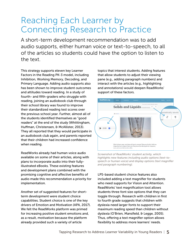## Reaching Each Learner by Connecting Research to Practice

A short-term development recommendation was to add audio supports, either human voice or text-to-speech, to all of the articles so students could have the option to listen to the text.

This strategy supports eleven key Learner Factors in the Reading PK-3 model, including Inhibition, Working Memory, Decoding, and Primary Language. Adding audio supports also has been shown to improve student outcomes and attitudes toward reading. In a study of fourth- and fifth-graders who struggle with reading, joining an audiobook club through their school library was found to improve their standardized reading test scores over the previous school year. Further, almost all of the students identified themselves as "good readers" at the end of the study (Whittingham, Huffman, Christensen, & McAllister, 2013). They all reported that they would participate in an audiobook club again, and parents reported that their children had increased confidence when reading.

ReadWorks already had human voice audio available on some of their articles, along with plans to incorporate audio into their fullyillustrated eBooks. These existing features and development plans combined with the promising cognitive and affective benefits of audio made this recommendation a priority for implementation.

Another set of suggested features for shortterm development were student choice capabilities. Student choice is one of the key drivers of Emotion and Motivation (APA, 2017). We felt the ReadWorks platform was primed for increasing positive student emotions and, as a result, motivation because the platform already provided such a variety of article

topics that interest students. Adding features that allow students to adjust their viewing pane (e.g., adding paragraph numbers) and interact with the articles (e.g., highlighting and annotations) would deepen ReadWorks' support of these factors.



*Screenshot of ReadWorks' student activity, which highlights new features including audio options (text-tospeech or human voice) and display options (text magnifier and paragraph numbering).*

LPS-based student choice features also included adding a text magnifier for students who need supports for Vision and Attention. ReadWorks' text magnification tool allows students three font size options that they can toggle through. Research with children in first to fourth grade suggests that children with dyslexia need larger fonts to support their maximum reading speed than children without dyslexia (O'Brien, Mansfield, & Legge, 2005). Thus, offering a text magnifier option allows flexibility to address more learners' needs.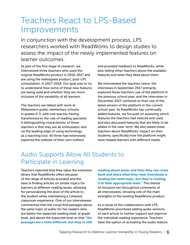## Teachers React to LPS-Based Improvements

In conjunction with the development process, LPS researchers worked with ReadWorks to design studies to assess the impact of the newly implemented features on learner outcomes.

As part of the first stage of research, we interviewed three teachers who used the original ReadWorks product in 2016-2017 and are using the redesigned product, post-LPS consultation, in 2017-2018. Our goal was to try to understand how some of these new features are being used and whether they are more inclusive of the variability of all learners.

The teachers we talked with work at Midwestern public elementary schools in grades K-3, with one teacher having transitioned to the role of reading specialist. A distinguishing characteristic of these teachers is that they are all enthusiastic and on the leading edge of using technology as a teaching tool. All three had extensively explored the website of their own volition

and provided feedback to ReadWorks, while also telling other teachers about the available features and what they liked about them.

We interviewed the teachers twice; the interviews in September 2017 primarily explored these teachers' use of the platform in the previous school year, and the interviews in December 2017 centered on their use of the latest version of the platform in the current school year. As ReadWorks has continually added features, we focused on assessing which features the teachers had noticed and used, and also discussed features that are likely to be added in the near-term. We also asked these teachers about ReadWorks' impact on their students, specifically how the platform might have helped learners with different needs.

### Audio Supports Allow All Students to Participate in Learning

Teachers reported that they value the extensive library that ReadWorks offers because of the range of articles provided and the ease in finding articles on similar topics for learners at different reading levels, allowing for personalizing the level of the article to the student while maintaining a cohesive classroom experience. One of our interviewees commented that she could find passages about the same topic of water for her readers who are below the expected reading level, at grade level, and above the expected level so that "the passages are a little different, but they're still

reading about water and then they can come back and share what they read. Everybody is reading the same topic, but they're reading it at their appropriate level." This theme of inclusion ran throughout comments of all interviewees, showing one of the main strengths of the existing ReadWorks product.

As a result of the collaboration with LPS, ReadWorks prioritized adding audio versions of each article to further support and improve the individual reading experience. Teachers have the option of activating the audio feature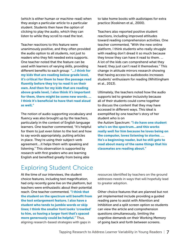(which is either human or machine-read) when they assign a particular article to a particular student. Students then have the option of clicking to play the audio, which they can listen to while they scroll to read the text.

Teacher reactions to this feature were unanimously positive, and they often provided the audio option to all students, not just to readers who they felt needed extra supports. One teacher noted that the feature can be used with learners of varying skills, providing different benefits to each group: "... I think for my kids that are reading below grade level, it's critical for them to hear the passage read fluently before they try to read it on their own. And then for my kids that are reading above grade level, I also think it's important for them, there might be some new words. ... I think it's beneficial to have that read aloud as well."

The notion of audio supporting vocabulary and fluency was also brought up by the teachers, particularly in the context of English language learners. One teacher commented, "It's helpful for them to just even listen to the text and how to say words appropriately, putting articles in place. They're using their subject-verb agreement….it helps them with speaking and listening." This observation is supported by research with first graders who are learning English and benefited greatly from being able

to take home books with audiotapes for extra practice (Koskinen et al., 2000).

Teachers also reported positive student reactions, including improved attitudes toward reading comprehension activities. One teacher commented, "With the new online platform, I think students who really struggle with reading don't dread it so much because they know they can have it read to them. ... A lot of the kids can comprehend what they heard; they just can't read it themselves." This change in attitude mirrors research showing that having access to audiobooks increases students' enthusiasm for reading (Whittingham et al., 2013).

Ultimately, the teachers noted how the audio supports led to greater inclusivity because all of their students could come together to discuss the content that they may have accessed in different ways. This ideal is exemplified by one teacher's story of her student who is on

the Autism Spectrum: "I do have one student who's on the spectrum...and this works really well for him because he loves being on the computer, loves listening to stories. … He's a beginning reader, but he still gets to read about many of the same things that his classmates are reading about."

### Exploring Student Choice

At the time of our interviews, the student choice features, including text magnification, had only recently gone live on the platform, but teachers were enthusiastic about their potential reach. One teacher commented, "I think that the student on the spectrum will benefit from the text enlargement feature. I also have a student who tends to jumble words or skip lines; I think the smaller font looks 'crowded' to him, so having a larger font that's spaced more generously could be helpful." Thus, aligning research-based strategies with gaps in

resources identified by teachers on the ground addresses needs in ways that will hopefully lead to greater adoption.

Other choice features that are planned but not yet implemented include providing a guided reading pane to assist with Attention and Inhibition and a split screen option so students can view the article and comprehension questions simultaneously, limiting the cognitive demands on their Working Memory of going back and forth between screens.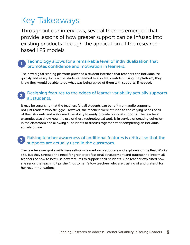# Key Takeaways

Throughout our interviews, several themes emerged that provide lessons of how greater support can be infused into existing products through the application of the researchbased LPS models.

#### Technology allows for a remarkable level of individualization that promotes confidence and motivation in learners. 1

The new digital reading platform provided a student interface that teachers can individualize quickly and easily. In turn, the students seemed to also feel confident using the platform; they knew they would be able to do what was being asked of them with supports, if needed.

#### Designing features to the edges of learner variability actually supports all students. 2

It may be surprising that the teachers felt all students can benefit from audio supports, not just readers who struggle. However, the teachers were attuned to the varying needs of all of their students and welcomed the ability to easily provide optional supports. The teachers' examples also show how the use of these technological tools is in service of creating cohesion in the classroom and allowing all students to discuss together after completing an individual activity online.

#### Raising teacher awareness of additional features is critical so that the supports are actually used in the classroom. 3

The teachers we spoke with were self-proclaimed early adopters and explorers of the ReadWorks site, but they stressed the need for greater professional development and outreach to inform all teachers of how to best use new features to support their students. One teacher explained how she sends the teaching tips she finds to her fellow teachers who are trusting of and grateful for her recommendations.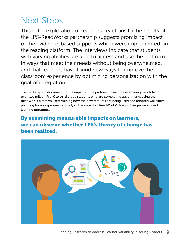# Next Steps

This initial exploration of teachers' reactions to the results of the LPS-ReadWorks partnership suggests promising impact of the evidence-based supports which were implemented on the reading platform. The interviews indicate that students with varying abilities are able to access and use the platform in ways that meet their needs without being overwhelmed, and that teachers have found new ways to improve the classroom experience by optimizing personalization with the goal of integration.

The next steps in documenting the impact of the partnership include examining trends from over two million Pre-K to third grade students who are completing assignments using the ReadWorks platform. Determining how the new features are being used and adopted will allow planning for an experimental study of the impact of ReadWorks' design changes on student learning outcomes.

By examining measurable impacts on learners, we can observe whether LPS's theory of change has been realized.